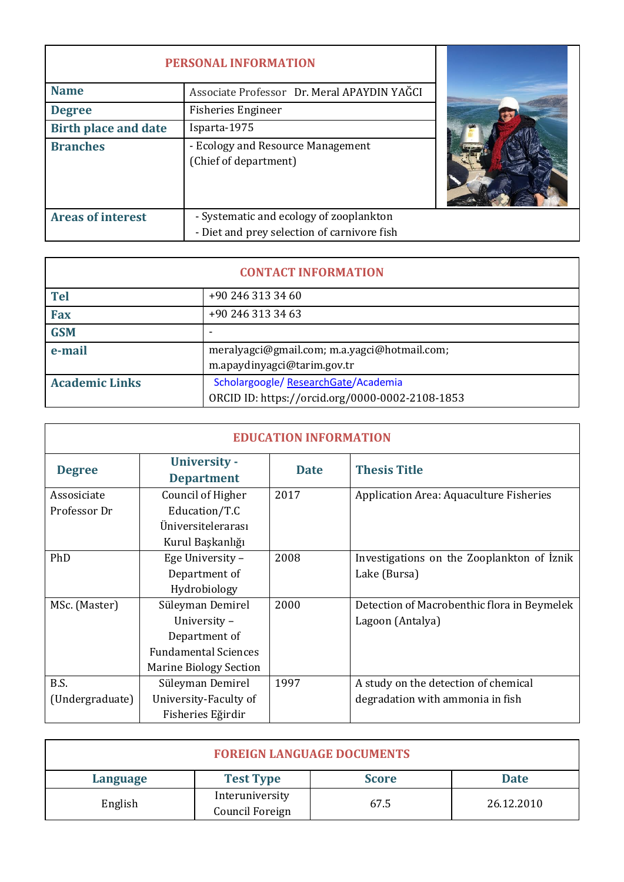| <b>PERSONAL INFORMATION</b>                                |                                                                                        |  |
|------------------------------------------------------------|----------------------------------------------------------------------------------------|--|
| <b>Name</b><br>Associate Professor Dr. Meral APAYDIN YAĞCI |                                                                                        |  |
| <b>Degree</b>                                              | <b>Fisheries Engineer</b>                                                              |  |
| <b>Birth place and date</b>                                | Isparta-1975                                                                           |  |
| <b>Branches</b>                                            | - Ecology and Resource Management<br>(Chief of department)                             |  |
| <b>Areas of interest</b>                                   | - Systematic and ecology of zooplankton<br>- Diet and prey selection of carnivore fish |  |

| <b>CONTACT INFORMATION</b> |                                                 |  |
|----------------------------|-------------------------------------------------|--|
| <b>Tel</b>                 | +90 246 313 34 60                               |  |
| <b>Fax</b>                 | +90 246 313 34 63                               |  |
| <b>GSM</b>                 |                                                 |  |
| e-mail                     | meralyagci@gmail.com; m.a.yagci@hotmail.com;    |  |
|                            | m.apaydinyagci@tarim.gov.tr                     |  |
| <b>Academic Links</b>      | Scholargoogle/ResearchGate/Academia             |  |
|                            | ORCID ID: https://orcid.org/0000-0002-2108-1853 |  |

| <b>EDUCATION INFORMATION</b> |                               |             |                                             |  |
|------------------------------|-------------------------------|-------------|---------------------------------------------|--|
| <b>Degree</b>                | <b>University -</b>           | <b>Date</b> | <b>Thesis Title</b>                         |  |
|                              | <b>Department</b>             |             |                                             |  |
| Assosiciate                  | Council of Higher             | 2017        | Application Area: Aquaculture Fisheries     |  |
| Professor Dr                 | Education/T.C                 |             |                                             |  |
|                              | Üniversitelerarası            |             |                                             |  |
|                              | Kurul Başkanlığı              |             |                                             |  |
| PhD                          | Ege University -              | 2008        | Investigations on the Zooplankton of Iznik  |  |
|                              | Department of                 |             | Lake (Bursa)                                |  |
|                              | Hydrobiology                  |             |                                             |  |
| MSc. (Master)                | Süleyman Demirel              | 2000        | Detection of Macrobenthic flora in Beymelek |  |
|                              | University -                  |             | Lagoon (Antalya)                            |  |
|                              | Department of                 |             |                                             |  |
|                              | <b>Fundamental Sciences</b>   |             |                                             |  |
|                              | <b>Marine Biology Section</b> |             |                                             |  |
| B.S.                         | Süleyman Demirel              | 1997        | A study on the detection of chemical        |  |
| (Undergraduate)              | University-Faculty of         |             | degradation with ammonia in fish            |  |
|                              | Fisheries Eğirdir             |             |                                             |  |

| <b>FOREIGN LANGUAGE DOCUMENTS</b> |                                    |      |            |  |
|-----------------------------------|------------------------------------|------|------------|--|
| <b>Language</b>                   | <b>Date</b>                        |      |            |  |
| English                           | Interuniversity<br>Council Foreign | 67.5 | 26.12.2010 |  |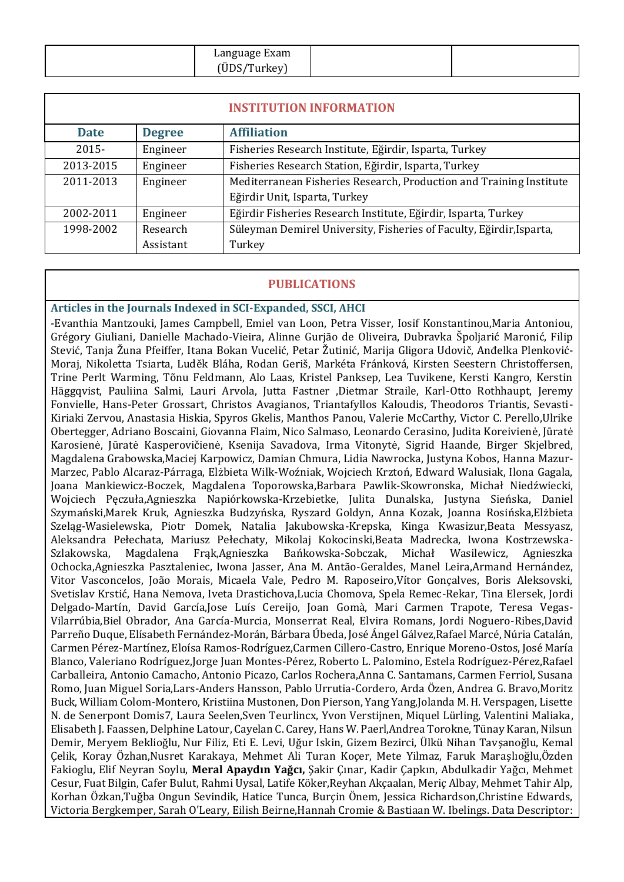| Language Exam<br>ÜDS/Turkey |  |
|-----------------------------|--|
|                             |  |

| <b>INSTITUTION INFORMATION</b> |               |                                                                      |  |
|--------------------------------|---------------|----------------------------------------------------------------------|--|
| <b>Date</b>                    | <b>Degree</b> | <b>Affiliation</b>                                                   |  |
| $2015 -$                       | Engineer      | Fisheries Research Institute, Eğirdir, Isparta, Turkey               |  |
| 2013-2015                      | Engineer      | Fisheries Research Station, Eğirdir, Isparta, Turkey                 |  |
| 2011-2013                      | Engineer      | Mediterranean Fisheries Research, Production and Training Institute  |  |
|                                |               | Eğirdir Unit, Isparta, Turkey                                        |  |
| 2002-2011                      | Engineer      | Eğirdir Fisheries Research Institute, Eğirdir, Isparta, Turkey       |  |
| 1998-2002                      | Research      | Süleyman Demirel University, Fisheries of Faculty, Eğirdir, Isparta, |  |
|                                | Assistant     | Turkey                                                               |  |

#### **PUBLICATIONS**

**Articles in the Journals Indexed in SCI-Expanded, SSCI, AHCI**

-Evanthia Mantzouki, James Campbell, Emiel van Loon, Petra Visser, Iosif Konstantinou,Maria Antoniou, Grégory Giuliani, Danielle Machado-Vieira, Alinne Gurjão de Oliveira, Dubravka Špoljarić Maronić, Filip Stević, Tanja Žuna Pfeiffer, Itana Bokan Vucelić, Petar Žutinić, Marija Gligora Udovič, Anđelka Plenković-Moraj, Nikoletta Tsiarta, Luděk Bláha, Rodan Geriš, Markéta Fránková, Kirsten Seestern Christoffersen, Trine Perlt Warming, Tõnu Feldmann, Alo Laas, Kristel Panksep, Lea Tuvikene, Kersti Kangro, Kerstin Häggqvist, Pauliina Salmi, Lauri Arvola, Jutta Fastner ,Dietmar Straile, Karl-Otto Rothhaupt, Jeremy Fonvielle, Hans-Peter Grossart, Christos Avagianos, Triantafyllos Kaloudis, Theodoros Triantis, Sevasti-Kiriaki Zervou, Anastasia Hiskia, Spyros Gkelis, Manthos Panou, Valerie McCarthy, Victor C. Perello,Ulrike Obertegger, Adriano Boscaini, Giovanna Flaim, Nico Salmaso, Leonardo Cerasino, Judita Koreivienė, Jūratė Karosienė, Jūratė Kasperovičienė, Ksenija Savadova, Irma Vitonytė, Sigrid Haande, Birger Skjelbred, Magdalena Grabowska,Maciej Karpowicz, Damian Chmura, Lidia Nawrocka, Justyna Kobos, Hanna Mazur-Marzec, Pablo Alcaraz-Párraga, Elżbieta Wilk-Woźniak, Wojciech Krztoń, Edward Walusiak, Ilona Gagala, Joana Mankiewicz-Boczek, Magdalena Toporowska,Barbara Pawlik-Skowronska, Michał Niedźwiecki, Wojciech Pęczuła,Agnieszka Napiórkowska-Krzebietke, Julita Dunalska, Justyna Sieńska, Daniel Szymański,Marek Kruk, Agnieszka Budzyńska, Ryszard Goldyn, Anna Kozak, Joanna Rosińska,Elżbieta Szeląg-Wasielewska, Piotr Domek, Natalia Jakubowska-Krepska, Kinga Kwasizur,Beata Messyasz, Aleksandra Pełechata, Mariusz Pełechaty, Mikolaj Kokocinski,Beata Madrecka, Iwona Kostrzewska-Szlakowska, Magdalena Frąk,Agnieszka Bańkowska-Sobczak, Michał Wasilewicz, Agnieszka Ochocka,Agnieszka Pasztaleniec, Iwona Jasser, Ana M. Antão-Geraldes, Manel Leira,Armand Hernández, Vitor Vasconcelos, João Morais, Micaela Vale, Pedro M. Raposeiro,Vítor Gonçalves, Boris Aleksovski, Svetislav Krstić, Hana Nemova, Iveta Drastichova,Lucia Chomova, Spela Remec-Rekar, Tina Elersek, Jordi Delgado-Martín, David García,Jose Luís Cereijo, Joan Gomà, Mari Carmen Trapote, Teresa Vegas-Vilarrúbia,Biel Obrador, Ana García-Murcia, Monserrat Real, Elvira Romans, Jordi Noguero-Ribes,David Parreño Duque, Elísabeth Fernández-Morán, Bárbara Úbeda, José Ángel Gálvez,Rafael Marcé, Núria Catalán, Carmen Pérez-Martínez, Eloísa Ramos-Rodríguez,Carmen Cillero-Castro, Enrique Moreno-Ostos, José María Blanco, Valeriano Rodríguez,Jorge Juan Montes-Pérez, Roberto L. Palomino, Estela Rodríguez-Pérez,Rafael Carballeira, Antonio Camacho, Antonio Picazo, Carlos Rochera,Anna C. Santamans, Carmen Ferriol, Susana Romo, Juan Miguel Soria,Lars-Anders Hansson, Pablo Urrutia-Cordero, Arda Özen, Andrea G. Bravo,Moritz Buck, William Colom-Montero, Kristiina Mustonen, Don Pierson, Yang Yang,Jolanda M. H. Verspagen, Lisette N. de Senerpont Domis7, Laura Seelen,Sven Teurlincx, Yvon Verstijnen, Miquel Lürling, Valentini Maliaka, Elisabeth J. Faassen, Delphine Latour, Cayelan C. Carey, Hans W. Paerl,Andrea Torokne, Tünay Karan, Nilsun Demir, Meryem Beklioğlu, Nur Filiz, Eti E. Levi, Uğur Iskin, Gizem Bezirci, Ülkü Nihan Tavşanoğlu, Kemal Çelik, Koray Özhan,Nusret Karakaya, Mehmet Ali Turan Koçer, Mete Yilmaz, Faruk Maraşlıoğlu,Özden Fakioglu, Elif Neyran Soylu, **Meral Apaydın Yağcı,** Şakir Çınar, Kadir Çapkın, Abdulkadir Yağcı, Mehmet Cesur, Fuat Bilgin, Cafer Bulut, Rahmi Uysal, Latife Köker,Reyhan Akçaalan, Meriç Albay, Mehmet Tahir Alp, Korhan Özkan,Tuğba Ongun Sevindik, Hatice Tunca, Burçin Önem, Jessica Richardson,Christine Edwards, Victoria Bergkemper, Sarah O'Leary, Eilish Beirne,Hannah Cromie & Bastiaan W. Ibelings. Data Descriptor: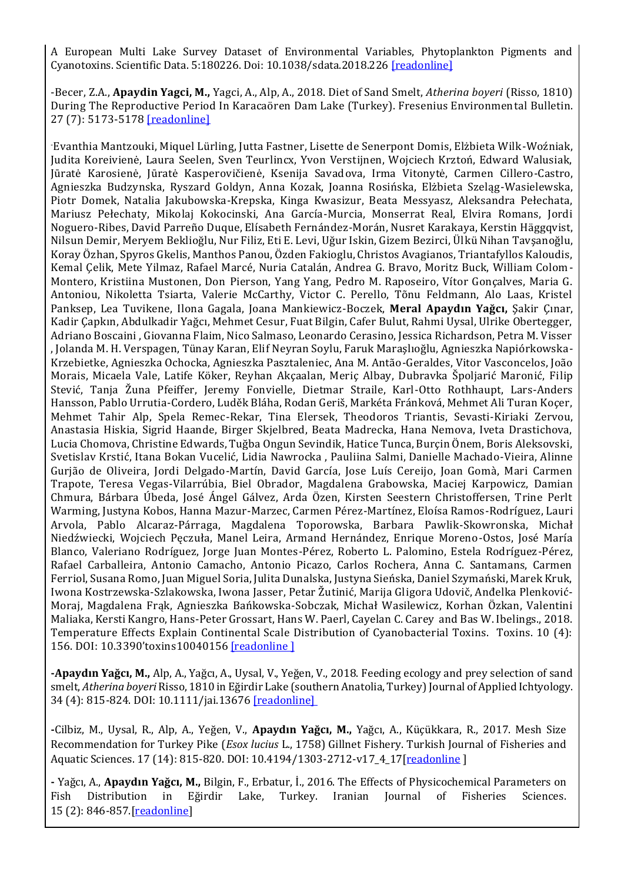A European Multi Lake Survey Dataset of Environmental Variables, Phytoplankton Pigments and Cyanotoxins. Scientific Data. 5:180226. Doi: 10.1038/sdata.2018.226 [\[readonline\]](https://www.nature.com/articles/sdata2018226.pdf)

-Becer, Z.A., **Apaydin Yagci, M.,** Yagci, A., Alp, A., 2018. Diet of Sand Smelt, *Atherina boyeri* (Risso, 1810) During The Reproductive Period In Karacaören Dam Lake (Turkey). Fresenius Environmental Bulletin. 27 (7): 5173-5178 [\[readonline\]](https://www.prt-parlar.de/download_feb_2018/)

-Evanthia Mantzouki, Miquel Lürling, Jutta Fastner, Lisette de Senerpont Domis, Elżbieta Wilk-Woźniak, Judita Koreivienė, Laura Seelen, Sven Teurlincx, Yvon Verstijnen, Wojciech Krztoń, Edward Walusiak, Jūratė Karosienė, Jūratė Kasperovičienė, Ksenija Savadova, Irma Vitonytė, Carmen Cillero-Castro, Agnieszka Budzynska, Ryszard Goldyn, Anna Kozak, Joanna Rosińska, Elżbieta Szeląg-Wasielewska, Piotr Domek, Natalia Jakubowska-Krepska, Kinga Kwasizur, Beata Messyasz, Aleksandra Pełechata, Mariusz Pełechaty, Mikolaj Kokocinski, Ana García-Murcia, Monserrat Real, Elvira Romans, Jordi Noguero-Ribes, David Parreño Duque, Elísabeth Fernández-Morán, Nusret Karakaya, Kerstin Häggqvist, Nilsun Demir, Meryem Beklioğlu, Nur Filiz, Eti E. Levi, Uğur Iskin, Gizem Bezirci, Ülkü Nihan Tavşanoğlu, Koray Özhan, Spyros Gkelis, Manthos Panou, Özden Fakioglu, Christos Avagianos, Triantafyllos Kaloudis, Kemal Çelik, Mete Yilmaz, Rafael Marcé, Nuria Catalán, Andrea G. Bravo, Moritz Buck, William Colom-Montero, Kristiina Mustonen, Don Pierson, Yang Yang, Pedro M. Raposeiro, Vítor Gonçalves, Maria G. Antoniou, Nikoletta Tsiarta, Valerie McCarthy, Victor C. Perello, Tõnu Feldmann, Alo Laas, Kristel Panksep, Lea Tuvikene, Ilona Gagala, Joana Mankiewicz-Boczek, **Meral Apaydın Yağcı,** Şakir Çınar, Kadir Çapkın, Abdulkadir Yağcı, Mehmet Cesur, Fuat Bilgin, Cafer Bulut, Rahmi Uysal, Ulrike Obertegger, Adriano Boscaini , Giovanna Flaim, Nico Salmaso, Leonardo Cerasino, Jessica Richardson, Petra M. Visser , Jolanda M. H. Verspagen, Tünay Karan, Elif Neyran Soylu, Faruk Maraşlıoğlu, Agnieszka Napiórkowska-Krzebietke, Agnieszka Ochocka, Agnieszka Pasztaleniec, Ana M. Antão-Geraldes, Vitor Vasconcelos, João Morais, Micaela Vale, Latife Köker, Reyhan Akçaalan, Meriç Albay, Dubravka Špoljarić Maronić, Filip Stević, Tanja Žuna Pfeiffer, Jeremy Fonvielle, Dietmar Straile, Karl-Otto Rothhaupt, Lars-Anders Hansson, Pablo Urrutia-Cordero, Luděk Bláha, Rodan Geriš, Markéta Fránková, Mehmet Ali Turan Koçer, Mehmet Tahir Alp, Spela Remec-Rekar, Tina Elersek, Theodoros Triantis, Sevasti-Kiriaki Zervou, Anastasia Hiskia, Sigrid Haande, Birger Skjelbred, Beata Madrecka, Hana Nemova, Iveta Drastichova, Lucia Chomova, Christine Edwards, Tuğba Ongun Sevindik, Hatice Tunca, Burçin Önem, Boris Aleksovski, Svetislav Krstić, Itana Bokan Vucelić, Lidia Nawrocka , Pauliina Salmi, Danielle Machado-Vieira, Alinne Gurjão de Oliveira, Jordi Delgado-Martín, David García, Jose Luís Cereijo, Joan Gomà, Mari Carmen Trapote, Teresa Vegas-Vilarrúbia, Biel Obrador, Magdalena Grabowska, Maciej Karpowicz, Damian Chmura, Bárbara Úbeda, José Ángel Gálvez, Arda Özen, Kirsten Seestern Christoffersen, Trine Perlt Warming, Justyna Kobos, Hanna Mazur-Marzec, Carmen Pérez-Martínez, Eloísa Ramos-Rodríguez, Lauri Arvola, Pablo Alcaraz-Párraga, Magdalena Toporowska, Barbara Pawlik-Skowronska, Michał Niedźwiecki, Wojciech Pęczuła, Manel Leira, Armand Hernández, Enrique Moreno-Ostos, José María Blanco, Valeriano Rodríguez, Jorge Juan Montes-Pérez, Roberto L. Palomino, Estela Rodríguez-Pérez, Rafael Carballeira, Antonio Camacho, Antonio Picazo, Carlos Rochera, Anna C. Santamans, Carmen Ferriol, Susana Romo, Juan Miguel Soria, Julita Dunalska, Justyna Sieńska, Daniel Szymański, Marek Kruk, Iwona Kostrzewska-Szlakowska, Iwona Jasser, Petar Žutinić, Marija Gligora Udovič, Anđelka Plenković-Moraj, Magdalena Frąk, Agnieszka Bańkowska-Sobczak, Michał Wasilewicz, Korhan Özkan, Valentini Maliaka, Kersti Kangro, Hans-Peter Grossart, Hans W. Paerl, Cayelan C. Carey and Bas W. Ibelings., 2018. Temperature Effects Explain Continental Scale Distribution of Cyanobacterial Toxins. Toxins. 10 (4): 156. DOI: 10.3390'toxins10040156 [\[readonline](http://www.mdpi.com/2072-6651/10/4/156) ]

**-Apaydın Yağcı, M.,** Alp, A., Yağcı, A., Uysal, V., Yeğen, V., 2018. Feeding ecology and prey selection of sand smelt, *Atherina boyeri* Risso, 1810 in Eğirdir Lake (southern Anatolia, Turkey) Journal of Applied Ichtyology. 34 (4): 815-824. DOI: 10.1111/jai.13676 [\[readonline\]](https://onlinelibrary.wiley.com/doi/abs/10.1111/jai.13676)

**-**Cilbiz, M., Uysal, R., Alp, A., Yeğen, V., **Apaydın Yağcı, M.,** Yağcı, A., Küçükkara, R., 2017. Mesh Size Recommendation for Turkey Pike (*Esox lucius* L., 1758) Gillnet Fishery. Turkish Journal of Fisheries and Aquatic Sciences. 17 (14): 815-820. DOI: 10.4194/1303-2712-v17\_4\_17[\[readonline](http://www.trjfas.org/uploads/pdf_1132.pdf) ]

**-** Yağcı, A., **Apaydın Yağcı, M.,** Bilgin, F., Erbatur, İ., 2016. The Effects of Physicochemical Parameters on Fish Distribution in Eğirdir Lake, Turkey. Iranian Journal of Fisheries Sciences. 15 (2): 846-857.[\[readonline\]](http://www.jifro.ir/browse.php?a_id=2225&slc_lang=en&sid=1&ftxt=1)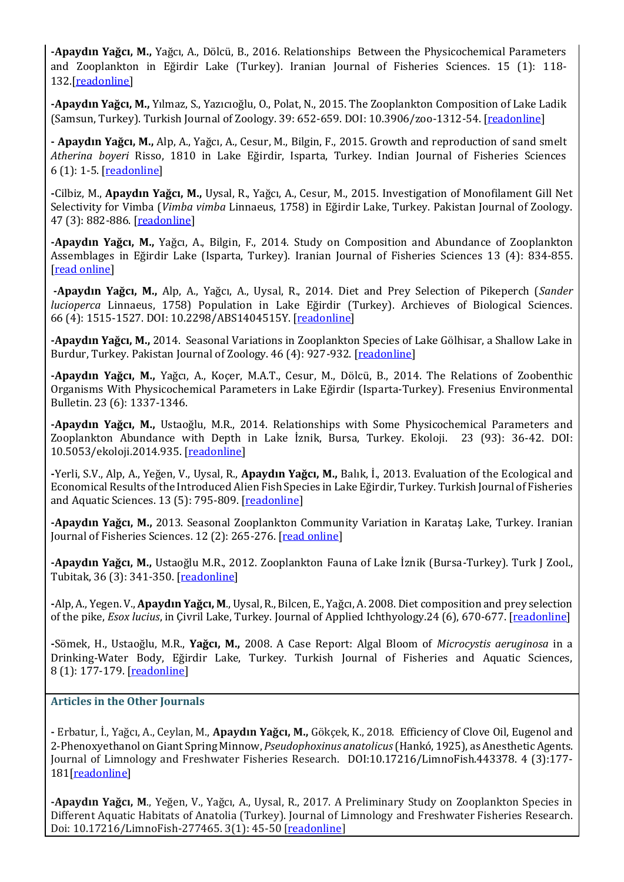**-Apaydın Yağcı, M.,** Yağcı, A., Dölcü, B., 2016. Relationships Between the Physicochemical Parameters and Zooplankton in Eğirdir Lake (Turkey). Iranian Journal of Fisheries Sciences. 15 (1): 118- 132.[\[readonline\]](http://www.jifro.ir/browse.php?a_id=847&slc_lang=en&sid=1&ftxt=1)

**-Apaydın Yağcı, M.,** Yılmaz, S., Yazıcıoğlu, O., Polat, N., 2015. The Zooplankton Composition of Lake Ladik (Samsun, Turkey). Turkish Journal of Zoology. 39: 652-659. DOI: 10.3906/zoo-1312-54. [\[readonline\]](http://journals.tubitak.gov.tr/zoology/issues/zoo-15-39-4/zoo-39-4-15-1312-54.pdf)

**- Apaydın Yağcı, M.,** Alp, A., Yağcı, A., Cesur, M., Bilgin, F., 2015. Growth and reproduction of sand smelt *Atherina boyeri* Risso, 1810 in Lake Eğirdir, Isparta, Turkey. Indian Journal of Fisheries Sciences 6 (1): 1-5. [\[readonline\]](file:///C:/Users/sarem/Downloads/33318-115031-1-PB.pdf)

**-**Cilbiz, M., **Apaydın Yağcı, M.,** Uysal, R., Yağcı, A., Cesur, M., 2015. Investigation of Monofilament Gill Net Selectivity for Vimba (*Vimba vimba* Linnaeus, 1758) in Eğirdir Lake, Turkey. Pakistan Journal of Zoology. 47 (3): 882-886. [\[readonline\]](http://zsp.com.pk/pdf47/857-901%20(32)%20Short%20communications%2047%20(3)%202015.pdf)

**-Apaydın Yağcı, M.,** Yağcı, A., Bilgin, F., 2014. Study on Composition and Abundance of Zooplankton Assemblages in Eğirdir Lake (Isparta, Turkey). Iranian Journal of Fisheries Sciences 13 (4): 834-855. [\[read online\]](http://www.jifro.ir/browse.php?a_id=1781&slc_lang=en&sid=1&ftxt=1)

**-Apaydın Yağcı, M.,** Alp, A., Yağcı, A., Uysal, R., 2014. Diet and Prey Selection of Pikeperch (*Sander lucioperca* Linnaeus, 1758) Population in Lake Eğirdir (Turkey). Archieves of Biological Sciences. 66 (4): 1515-1527. DOI: 10.2298/ABS1404515Y. [\[readonline\]](http://www.doiserbia.nb.rs/img/doi/0354-4664/2014/0354-46641404515Y.pdf)

**-Apaydın Yağcı, M.,** 2014. Seasonal Variations in Zooplankton Species of Lake Gölhisar, a Shallow Lake in Burdur, Turkey. Pakistan Journal of Zoology. 46 (4): 927-932. [\[readonline\]](http://zsp.com.pk/pdf46/927-932%20(6)%20PJZ-1542-13%2023-6-14.pdf)

**-Apaydın Yağcı, M.,** Yağcı, A., Koçer, M.A.T., Cesur, M., Dölcü, B., 2014. The Relations of Zoobenthic Organisms With Physicochemical Parameters in Lake Eğirdir (Isparta-Turkey). Fresenius Environmental Bulletin. 23 (6): 1337-1346.

**-Apaydın Yağcı, M.,** Ustaoğlu, M.R., 2014. Relationships with Some Physicochemical Parameters and Zooplankton Abundance with Depth in Lake İznik, Bursa, Turkey. Ekoloji. 23 (93): 36-42. DOI: 10.5053/ekoloji.2014.935. [\[readonline\]](http://www.ekoloji.com.tr/resimler/93-5.pdf)

**-**Yerli, S.V., Alp, A., Yeğen, V., Uysal, R., **Apaydın Yağcı, M.,** Balık, İ., 2013. Evaluation of the Ecological and Economical Results of the Introduced Alien Fish Species in Lake Eğirdir, Turkey. Turkish Journal of Fisheries and Aquatic Sciences. 13 (5): 795-809. [\[readonline\]](http://www.trjfas.org/uploads/pdf_131.pdf)

**-Apaydın Yağcı, M.,** 2013. Seasonal Zooplankton Community Variation in Karataş Lake, Turkey. Iranian Journal of Fisheries Sciences. 12 (2): 265-276. [\[read online\]](http://www.jifro.ir/browse.php?a_id=988&slc_lang=en&sid=1&ftxt=1)

**-Apaydın Yağcı, M.,** Ustaoğlu M.R., 2012. Zooplankton Fauna of Lake İznik (Bursa-Turkey). Turk J Zool., Tubitak, 36 (3): 341-350. [\[readonline\]](http://journals.tubitak.gov.tr/zoology/issues/zoo-12-36-3/zoo-36-3-7-1001-36.pdf)

**-**Alp, A., Yegen. V., **Apaydın Yağcı, M**., Uysal, R., Bilcen, E., Yağcı, A. 2008. Diet composition and prey selection of the pike, *Esox lucius*, in Çivril Lake, Turkey. Journal of Applied Ichthyology.24 (6), 670-677. [\[readonline\]](http://onlinelibrary.wiley.com/doi/10.1111/j.1439-0426.2008.01119.x/abstract)

**-**Sömek, H., Ustaoğlu, M.R., **Yağcı, M.,** 2008. A Case Report: Algal Bloom of *Microcystis aeruginosa* in a Drinking-Water Body, Eğirdir Lake, Turkey. Turkish Journal of Fisheries and Aquatic Sciences, 8 (1): 177-179. [\[readonline\]](http://www.trjfas.org/uploads/pdf_607.pdf)

**Articles in the Other Journals**

**-** Erbatur, İ., Yağcı, A., Ceylan, M., **Apaydın Yağcı, M.,** Gökçek, K., 2018. Efficiency of Clove Oil, Eugenol and 2-Phenoxyethanol on Giant Spring Minnow, *Pseudophoxinus anatolicus* (Hankó, 1925), as Anesthetic Agents. Journal of Limnology and Freshwater Fisheries Research. DOI:10.17216/LimnoFish.443378. 4 (3):177- 181[\[readonline\]](http://www.limnofish.org/download/article-file/600500)

**-Apaydın Yağcı, M**., Yeğen, V., Yağcı, A., Uysal, R., 2017. A Preliminary Study on Zooplankton Species in Different Aquatic Habitats of Anatolia (Turkey). Journal of Limnology and Freshwater Fisheries Research. Doi: 10.17216/LimnoFish-277465. 3(1): 45-50 [[readonline](http://www.limnofish.org/download/article-file/258678)]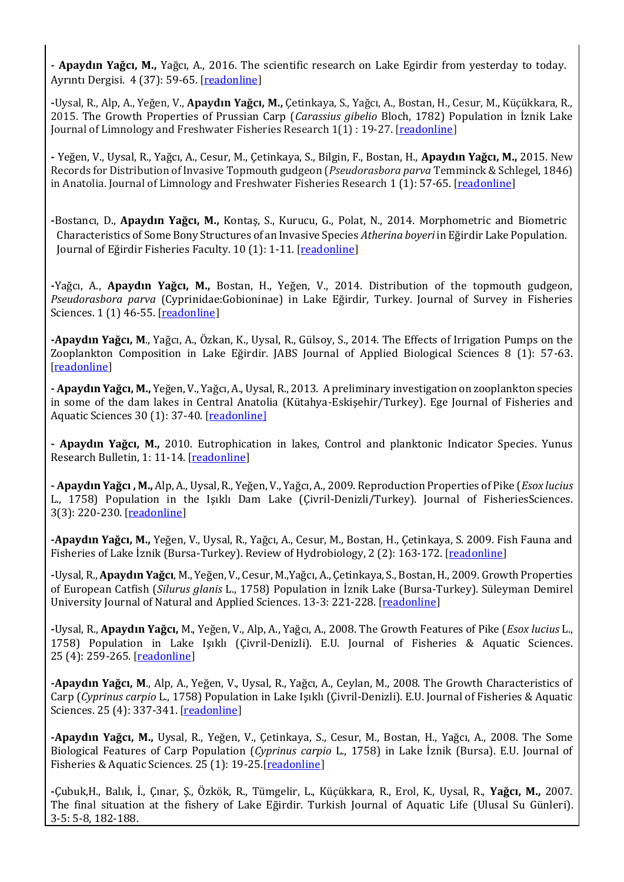**- Apaydın Yağcı, M.,** Yağcı, A., 2016. The scientific research on Lake Egirdir from yesterday to today. Ayrıntı Dergisi. 4 (37): 59-65. [[readonline](http://www.dergiayrinti.com/index.php/ayr/article/view/709/1274)]

**-**Uysal, R., Alp, A., Yeğen, V., **Apaydın Yağcı, M.,** Çetinkaya, S., Yağcı, A., Bostan, H., Cesur, M., Küçükkara, R., 2015. The Growth Properties of Prussian Carp (*Carassius gibelio* Bloch, 1782) Population in İznik Lake Journal of Limnology and Freshwater Fisheries Research 1(1) : 19-27. [[readonline](http://www.limnofish.org/article/view/5000086696/5000105830)]

**-** Yeğen, V., Uysal, R., Yağcı, A., Cesur, M., Çetinkaya, S., Bilgin, F., Bostan, H., **Apaydın Yağcı, M.,** 2015. New Records for Distribution of Invasive Topmouth gudgeon (*Pseudorasbora parva* Temminck & Schlegel, 1846) in Anatolia. Journal of Limnology and Freshwater Fisheries Research 1 (1): 57-65. [[readonline](http://www.limnofish.org/article/view/5000092903/5000105503)]

**-**Bostancı, D., **Apaydın Yağcı, M.,** Kontaş, S., Kurucu, G., Polat, N., 2014. Morphometric and Biometric Characteristics of Some Bony Structures of an Invasive Species *Atherina boyeri* in Eğirdir Lake Population. Journal of Eğirdir Fisheries Faculty. 10 (1): 1-11. [[readonline](http://edergi.sdu.edu.tr/index.php/esufd/article/viewFile/4576/4331)]

**-**Yağcı, A., **Apaydın Yağcı, M.,** Bostan, H., Yeğen, V., 2014. Distribution of the topmouth gudgeon, *Pseudorasbora parva* (Cyprinidae:Gobioninae) in Lake Eğirdir, Turkey. Journal of Survey in Fisheries Sciences. 1 (1) 46-55. [[readonline](http://www.sifisheriessciences.com/files/site1/user_files_d60aad/eng/fallahi-A-10-444-7-4232585.pdf)]

**-Apaydın Yağcı, M**., Yağcı, A., Özkan, K., Uysal, R., Gülsoy, S., 2014. The Effects of Irrigation Pumps on the Zooplankton Composition in Lake Eğirdir. JABS Journal of Applied Biological Sciences 8 (1): 57-63. [[readonline](file:///C:/Users/sarem/Downloads/JABS-Issue%201-2014-6.pdf)]

**- Apaydın Yağcı, M.,** Yeğen, V., Yağcı, A., Uysal, R., 2013. A preliminary investigation on zooplankton species in some of the dam lakes in Central Anatolia (Kütahya-Eskişehir/Turkey). Ege Journal of Fisheries and Aquatic Sciences 30 (1): 37-40. [[readonline](http://www.egejfas.org/article/view/5000156399/5000141145)]

**- Apaydın Yağcı, M.,** 2010. Eutrophication in lakes, Control and planktonic Indicator Species. Yunus Research Bulletin, 1: 11-14. [[readonline](http://dergipark.ulakbim.gov.tr/yunusae/article/view/5000036840/5000035713)]

**- Apaydın Yağcı , M.,** Alp, A., Uysal, R., Yeğen, V., Yağcı, A., 2009. Reproduction Properties of Pike (*Esox lucius* L., 1758) Population in the Işıklı Dam Lake (Çivril-Denizli/Turkey). Journal of FisheriesSciences. 3(3): 220-230. [[readonline](http://www.fisheriessciences.com/fisheries-aqua/reproduction-properties-of-pike-esox-lucius-l1758-population-in-the-i351305kl305-dam-lake-ivrildenizliturkey.pdf)]

**-Apaydın Yağcı, M.,** Yeğen, V., Uysal, R., Yağcı, A., Cesur, M., Bostan, H., Çetinkaya, S. 2009. Fish Fauna and Fisheries of Lake İznik (Bursa-Turkey). Review of Hydrobiology, 2 (2): 163-172. [[readonline](http://www.reviewofhydrobiology.org/page/pdf.asp?pdf=2-2/2-2-5-Full.pdf)]

**-**Uysal, R., **Apaydın Yağcı**, M., Yeğen, V., Cesur, M.,Yağcı, A., Çetinkaya, S., Bostan, H., 2009. Growth Properties of European Catfish (*Silurus glanis* L., 1758) Population in İznik Lake (Bursa-Turkey). Süleyman Demirel University Journal of Natural and Applied Sciences. 13-3: 221-228. [[readonline](http://dergipark.ulakbim.gov.tr/sdufenbed/article/view/1089004327/1089003502)]

**-**Uysal, R., **Apaydın Yağcı,** M., Yeğen, V., Alp, A., Yağcı, A., 2008. The Growth Features of Pike (*Esox lucius* L., 1758) Population in Lake Işıklı (Çivril-Denizli). E.U. Journal of Fisheries & Aquatic Sciences. 25 (4): 259-265. [[readonline](http://ege-universitesi.dergipark.gov.tr/download/article-file/57506)]

**-Apaydın Yağcı, M**., Alp, A., Yeğen, V., Uysal, R., Yağcı, A., Ceylan, M., 2008. The Growth Characteristics of Carp (*Cyprinus carpio* L., 1758) Population in Lake Işıklı (Çivril-Denizli). E.U. Journal of Fisheries & Aquatic Sciences. 25 (4): 337-341. [[readonline](http://www.egejfas.org/article/view/5000156606/5000141347)]

**-Apaydın Yağcı, M.,** Uysal, R., Yeğen, V., Çetinkaya, S., Cesur, M., Bostan, H., Yağcı, A., 2008. The Some Biological Features of Carp Population (*Cyprinus carpio* L., 1758) in Lake İznik (Bursa). E.U. Journal of Fisheries & Aquatic Sciences. 25 (1): 19-25.[[readonline](http://www.egejfas.org/article/view/5000156563/5000141304)]

**-**Çubuk,H., Balık, İ., Çınar, Ş., Özkök, R., Tümgelir, L., Küçükkara, R., Erol, K., Uysal, R., **Yağcı, M.,** 2007. The final situation at the fishery of Lake Eğirdir. Turkish Journal of Aquatic Life (Ulusal Su Günleri). 3-5: 5-8, 182-188.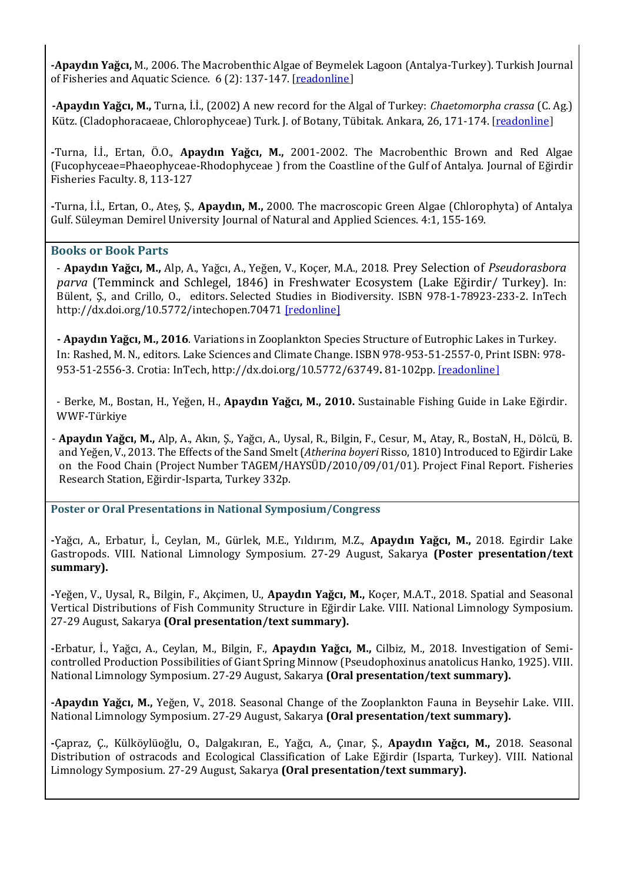**-Apaydın Yağcı,** M., 2006. The Macrobenthic Algae of Beymelek Lagoon (Antalya-Turkey). Turkish Journal of Fisheries and Aquatic Science. 6 (2): 137-147. [[readonline](http://www.trjfas.org/uploads/pdf_299.pdf)]

**-Apaydın Yağcı, M.,** Turna, İ.İ., (2002) A new record for the Algal of Turkey: *Chaetomorpha crassa* (C. Ag.) Kütz. (Cladophoracaeae, Chlorophyceae) Turk. J. of Botany, Tübitak. Ankara, 26, 171-174. [[readonline](http://journals.tubitak.gov.tr/botany/issues/bot-02-26-3/bot-26-3-7-0104-5.pdf)]

**-**Turna, İ.İ., Ertan, Ö.O., **Apaydın Yağcı, M.,** 2001-2002. The Macrobenthic Brown and Red Algae (Fucophyceae=Phaeophyceae-Rhodophyceae ) from the Coastline of the Gulf of Antalya. Journal of Eğirdir Fisheries Faculty. 8, 113-127

**-**Turna, İ.İ., Ertan, O., Ateş, Ş., **Apaydın, M.,** 2000. The macroscopic Green Algae (Chlorophyta) of Antalya Gulf. Süleyman Demirel University Journal of Natural and Applied Sciences. 4:1, 155-169.

## **Books or Book Parts**

- **Apaydın Yağcı, M.,** Alp, A., Yağcı, A., Yeğen, V., Koçer, M.A., 2018. Prey Selection of *Pseudorasbora parva* (Temminck and Schlegel, 1846) in Freshwater Ecosystem (Lake Eğirdir/ Turkey). In: Bülent, Ş., and Crillo, O., editors. Selected Studies in Biodiversity. ISBN 978-1-78923-233-2. InTech <http://dx.doi.org/10.5772/intechopen.70471> [\[redonline\]](https://www.intechopen.com/books/selected-studies-in-biodiversity/prey-selection-of-pseudorasbora-parva-temminck-and-schlegel-1846-in-a-freshwater-ecosystem-lake-e-ir)

**- Apaydın Yağcı, M., 2016**. Variations in Zooplankton Species Structure of Eutrophic Lakes in Turkey. In: Rashed, M. N., editors. Lake Sciences and Climate Change. ISBN 978-953-51-2557-0, Print ISBN: 978- 953-51-2556-3. Crotia: InTech, <http://dx.doi.org/10.5772/63749>**.** 81-102pp. [[readonline](http://www.intechopen.com/books/lake-sciences-and-climate-change/variations-in-the-zooplankton-species-structure-of-eutrophic-lakes-in-turkey)]

- Berke, M., Bostan, H., Yeğen, H., **Apaydın Yağcı, M., 2010.** Sustainable Fishing Guide in Lake Eğirdir. WWF-Türkiye

- **Apaydın Yağcı, M.,** Alp, A., Akın, Ş., Yağcı, A., Uysal, R., Bilgin, F., Cesur, M., Atay, R., BostaN, H., Dölcü, B. and Yeğen, V., 2013. The Effects of the Sand Smelt (*Atherina boyeri* Risso, 1810) Introduced to Eğirdir Lake on the Food Chain (Project Number TAGEM/HAYSÜD/2010/09/01/01). Project Final Report. Fisheries Research Station, Eğirdir-Isparta, Turkey 332p.

**Poster or Oral Presentations in National Symposium/Congress**

**-**Yağcı, A., Erbatur, İ., Ceylan, M., Gürlek, M.E., Yıldırım, M.Z., **Apaydın Yağcı, M.,** 2018. Egirdir Lake Gastropods. VIII. National Limnology Symposium. 27-29 August, Sakarya **(Poster presentation/text summary).**

**-**Yeğen, V., Uysal, R., Bilgin, F., Akçimen, U., **Apaydın Yağcı, M.,** Koçer, M.A.T., 2018. Spatial and Seasonal Vertical Distributions of Fish Community Structure in Eğirdir Lake. VIII. National Limnology Symposium. 27-29 August, Sakarya **(Oral presentation/text summary).**

**-**Erbatur, İ., Yağcı, A., Ceylan, M., Bilgin, F., **Apaydın Yağcı, M.,** Cilbiz, M., 2018. Investigation of Semicontrolled Production Possibilities of Giant Spring Minnow (Pseudophoxinus anatolicus Hanko, 1925). VIII. National Limnology Symposium. 27-29 August, Sakarya **(Oral presentation/text summary).**

**-Apaydın Yağcı, M.,** Yeğen, V., 2018. Seasonal Change of the Zooplankton Fauna in Beysehir Lake. VIII. National Limnology Symposium. 27-29 August, Sakarya **(Oral presentation/text summary).**

**-**Çapraz, Ç., Külköylüoğlu, O., Dalgakıran, E., Yağcı, A., Çınar, Ş., **Apaydın Yağcı, M.,** 2018. Seasonal Distribution of ostracods and Ecological Classification of Lake Eğirdir (Isparta, Turkey). VIII. National Limnology Symposium. 27-29 August, Sakarya **(Oral presentation/text summary).**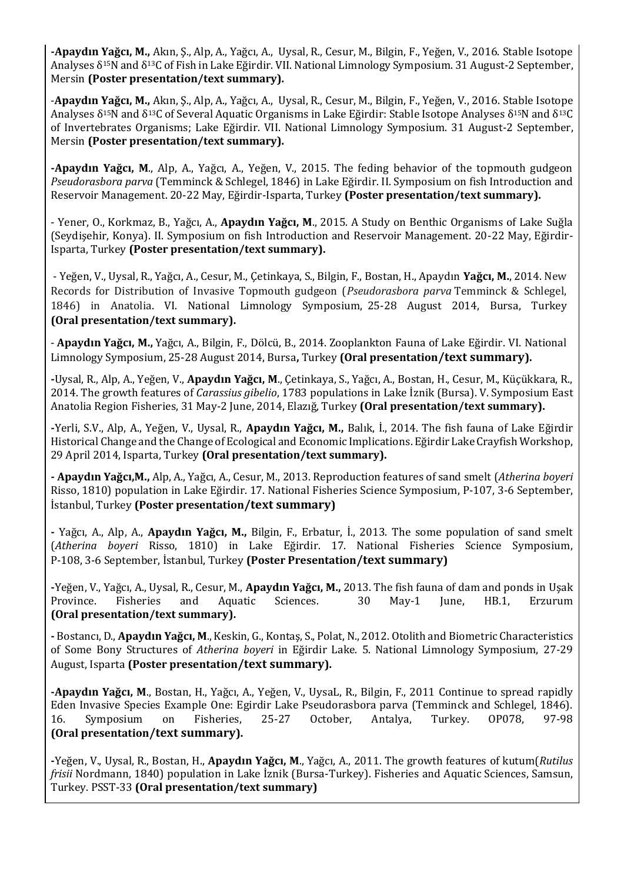**-Apaydın Yağcı, M.,** Akın, Ş., Alp, A., Yağcı, A., Uysal, R., Cesur, M., Bilgin, F., Yeğen, V., 2016. Stable Isotope Analyses δ15N and δ13C of Fish in Lake Eğirdir. VII. National Limnology Symposium. 31 August-2 September, Mersin **(Poster presentation/text summary).**

-**Apaydın Yağcı, M.,** Akın, Ş., Alp, A., Yağcı, A., Uysal, R., Cesur, M., Bilgin, F., Yeğen, V., 2016. Stable Isotope Analyses δ15N and δ13C of Several Aquatic Organisms in Lake Eğirdir: Stable Isotope Analyses δ15N and δ13C of Invertebrates Organisms; Lake Eğirdir. VII. National Limnology Symposium. 31 August-2 September, Mersin **(Poster presentation/text summary).**

**-Apaydın Yağcı, M**., Alp, A., Yağcı, A., Yeğen, V., 2015. The feding behavior of the topmouth gudgeon *Pseudorasbora parva* (Temminck & Schlegel, 1846) in Lake Eğirdir. II. Symposium on fish Introduction and Reservoir Management. 20-22 May, Eğirdir-Isparta, Turkey **(Poster presentation/text summary).**

- Yener, O., Korkmaz, B., Yağcı, A., **Apaydın Yağcı, M**., 2015. A Study on Benthic Organisms of Lake Suğla (Seydişehir, Konya). II. Symposium on fish Introduction and Reservoir Management. 20-22 May, Eğirdir-Isparta, Turkey **(Poster presentation/text summary).**

- [Yeğen, V., Uysal, R., Yağcı, A., Cesur, M., Çetinkaya, S., Bilgin, F., Bostan, H., Apaydın](http://arastirma.tarim.gov.tr/sarim/Sayfalar/Detay.aspx?SayfaId=183) **Yağcı, M.**, 2014. New [Records for Distribution of Invasive Topmouth gudgeon \(](http://arastirma.tarim.gov.tr/sarim/Sayfalar/Detay.aspx?SayfaId=183)*Pseudorasbora parva* Temminck & Schlegel, [1846\) in Anatolia. VI. National Limnology Symposium,](http://arastirma.tarim.gov.tr/sarim/Sayfalar/Detay.aspx?SayfaId=183) 25-28 August 2014, Bursa, Turkey **(Oral presentation/text summary).**

- **Apaydın Yağcı, M.,** Yağcı, A., Bilgin, F., Dölcü, B., 2014. Zooplankton Fauna of Lake Eğirdir. VI. National Limnology Symposium, 25-28 August 2014, Bursa**,** Turkey **(Oral presentation/text summary).**

**-**Uysal, R., Alp, A., Yeğen, V., **Apaydın Yağcı, M**., Çetinkaya, S., Yağcı, A., Bostan, H., Cesur, M., Küçükkara, R., 2014. The growth features of *Carassius gibelio*, 1783 populations in Lake İznik (Bursa). V. Symposium East Anatolia Region Fisheries, 31 May-2 June, 2014, Elazığ, Turkey **(Oral presentation/text summary).**

**-**Yerli, S.V., Alp, A., Yeğen, V., Uysal, R., **Apaydın Yağcı, M.,** Balık, İ., 2014. The fish fauna of Lake Eğirdir Historical Change and the Change of Ecological and Economic Implications. Eğirdir Lake Crayfish Workshop, 29 April 2014, Isparta, Turkey **(Oral presentation/text summary).**

**- Apaydın Yağcı,M.,** Alp, A., Yağcı, A., Cesur, M., 2013. Reproduction features of sand smelt (*Atherina boyeri* Risso, 1810) population in Lake Eğirdir. 17. National Fisheries Science Symposium, P-107, 3-6 September, İstanbul, Turkey **(Poster presentation/text summary)**

**-** Yağcı, A., Alp, A., **Apaydın Yağcı, M.,** Bilgin, F., Erbatur, İ., 2013. The some population of sand smelt (*Atherina boyeri* Risso, 1810) in Lake Eğirdir. 17. National Fisheries Science Symposium, P-108, 3-6 September, İstanbul, Turkey **(Poster Presentation/text summary)**

**-**Yeğen, V., Yağcı, A., Uysal, R., Cesur, M., **Apaydın Yağcı, M.,** 2013. The fish fauna of dam and ponds in Uşak Province. Fisheries and Aquatic Sciences. 30 May-1 June, HB.1, Erzurum **(Oral presentation/text summary).**

**-** Bostancı, D., **Apaydın Yağcı, M**., Keskin, G., Kontaş, S., Polat, N., 2012. Otolith and Biometric Characteristics of Some Bony Structures of *Atherina boyeri* in Eğirdir Lake. 5. National Limnology Symposium, 27-29 August, Isparta **(Poster presentation/text summary).**

**-Apaydın Yağcı, M**., Bostan, H., Yağcı, A., Yeğen, V., UysaL, R., Bilgin, F., 2011 Continue to spread rapidly Eden Invasive Species Example One: Egirdir Lake Pseudorasbora parva (Temminck and Schlegel, 1846). 16. Symposium on Fisheries, 25-27 October, Antalya, Turkey. OP078, 97-98 **(Oral presentation/text summary).**

**-**Yeğen, V., Uysal, R., Bostan, H., **Apaydın Yağcı, M**., Yağcı, A., 2011. The growth features of kutum(*Rutilus frisii* Nordmann, 1840) population in Lake İznik (Bursa-Turkey). Fisheries and Aquatic Sciences, Samsun, Turkey. PSST-33 **(Oral presentation/text summary)**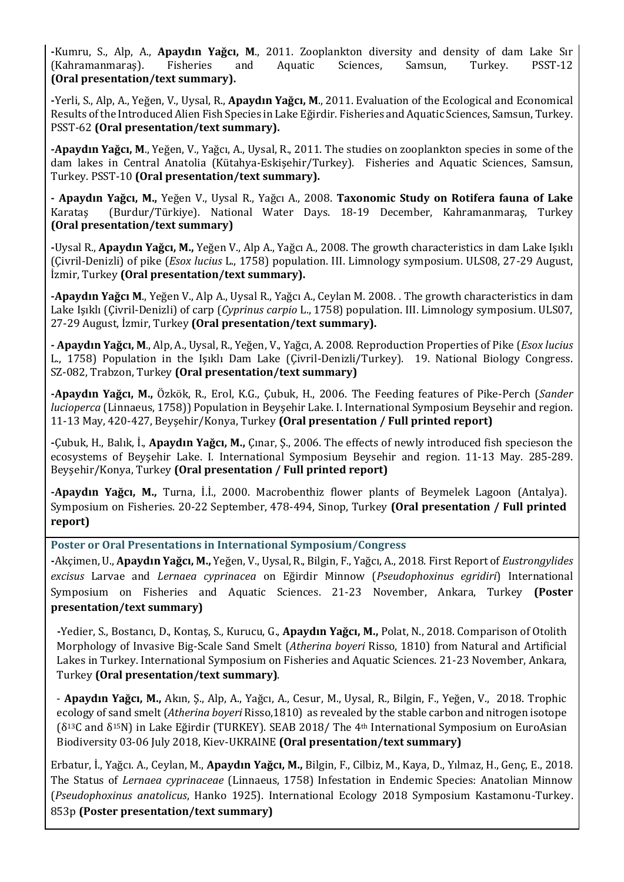**-**Kumru, S., Alp, A., **Apaydın Yağcı, M**., 2011. Zooplankton diversity and density of dam Lake Sır (Kahramanmaraş). Fisheries and Aquatic Sciences, Samsun, Turkey. PSST-12 **(Oral presentation/text summary).**

**-**Yerli, S., Alp, A., Yeğen, V., Uysal, R., **Apaydın Yağcı, M**., 2011. Evaluation of the Ecological and Economical Results of the Introduced Alien Fish Species in Lake Eğirdir. Fisheries and Aquatic Sciences, Samsun, Turkey. PSST-62 **(Oral presentation/text summary).**

**-Apaydın Yağcı, M**., Yeğen, V., Yağcı, A., Uysal, R., 2011. The studies on zooplankton species in some of the dam lakes in Central Anatolia (Kütahya-Eskişehir/Turkey). Fisheries and Aquatic Sciences, Samsun, Turkey. PSST-10 **(Oral presentation/text summary).**

**- Apaydın Yağcı, M.,** Yeğen V., Uysal R., Yağcı A., 2008. **Taxonomic Study on Rotifera fauna of Lake**  Karataş (Burdur/Türkiye). National Water Days. 18-19 December, Kahramanmaraş, Turkey **(Oral presentation/text summary)**

**-**Uysal R., **Apaydın Yağcı, M.,** Yeğen V., Alp A., Yağcı A., 2008. The growth characteristics in dam Lake Işıklı (Çivril-Denizli) of pike (*Esox lucius* L., 1758) population. III. Limnology symposium. ULS08, 27-29 August, İzmir, Turkey **(Oral presentation/text summary).** 

**-Apaydın Yağcı M**., Yeğen V., Alp A., Uysal R., Yağcı A., Ceylan M. 2008. . The growth characteristics in dam Lake Işıklı (Çivril-Denizli) of carp (*Cyprinus carpio* L., 1758) population. III. Limnology symposium. ULS07, 27-29 August, İzmir, Turkey **(Oral presentation/text summary).**

**- Apaydın Yağcı, M**., Alp, A., Uysal, R., Yeğen, V., Yağcı, A. 2008. Reproduction Properties of Pike (*Esox lucius* L., 1758) Population in the Işıklı Dam Lake (Çivril-Denizli/Turkey). 19. National Biology Congress. SZ-082, Trabzon, Turkey **(Oral presentation/text summary)**

**-Apaydın Yağcı, M.,** Özkök, R., Erol, K.G., Çubuk, H., 2006. The Feeding features of Pike-Perch (*Sander lucioperca* (Linnaeus, 1758)) Population in Beyşehir Lake. I. International Symposium Beysehir and region. 11-13 May, 420-427, Beyşehir/Konya, Turkey **(Oral presentation / Full printed report)**

**-**Çubuk, H., Balık, İ., **Apaydın Yağcı, M.,** Çınar, Ş., 2006. The effects of newly introduced fish specieson the ecosystems of Beyşehir Lake. I. International Symposium Beysehir and region. 11-13 May. 285-289. Beyşehir/Konya, Turkey **(Oral presentation / Full printed report)**

**-Apaydın Yağcı, M.,** Turna, İ.İ., 2000. Macrobenthiz flower plants of Beymelek Lagoon (Antalya). Symposium on Fisheries. 20-22 September, 478-494, Sinop, Turkey **(Oral presentation / Full printed report)**

**Poster or Oral Presentations in International Symposium/Congress**

**-**Akçimen, U., **Apaydın Yağcı, M.,** Yeğen, V., Uysal, R., Bilgin, F., Yağcı, A., 2018. First Report of *Eustrongylides excisus* Larvae and *Lernaea cyprinacea* on Eğirdir Minnow (*Pseudophoxinus egridiri*) International Symposium on Fisheries and Aquatic Sciences. 21-23 November, Ankara, Turkey **(Poster presentation/text summary)**

**-**Yedier, S., Bostancı, D., Kontaş, S., Kurucu, G., **Apaydın Yağcı, M.,** Polat, N., 2018. Comparison of Otolith Morphology of Invasive Big-Scale Sand Smelt (*Atherina boyeri* Risso, 1810) from Natural and Artificial Lakes in Turkey. International Symposium on Fisheries and Aquatic Sciences. 21-23 November, Ankara, Turkey **(Oral presentation/text summary)**.

- **Apaydın Yağcı, M.,** Akın, Ş., Alp, A., Yağcı, A., Cesur, M., Uysal, R., Bilgin, F., Yeğen, V., 2018. Trophic ecology of sand smelt (*Atherina boyeri* Risso,1810) as revealed by the stable carbon and nitrogen isotope (δ13C and δ15N) in Lake Eğirdir (TURKEY). SEAB 2018/ The 4th International Symposium on EuroAsian Biodiversity 03-06 July 2018, Kiev-UKRAINE **(Oral presentation/text summary)**

Erbatur, İ., Yağcı. A., Ceylan, M., **Apaydın Yağcı, M.,** Bilgin, F., Cilbiz, M., Kaya, D., Yılmaz, H., Genç, E., 2018. The Status of *Lernaea cyprinaceae* (Linnaeus, 1758) Infestation in Endemic Species: Anatolian Minnow (*Pseudophoxinus anatolicus*, Hanko 1925). International Ecology 2018 Symposium Kastamonu-Turkey. 853p **(Poster presentation/text summary)**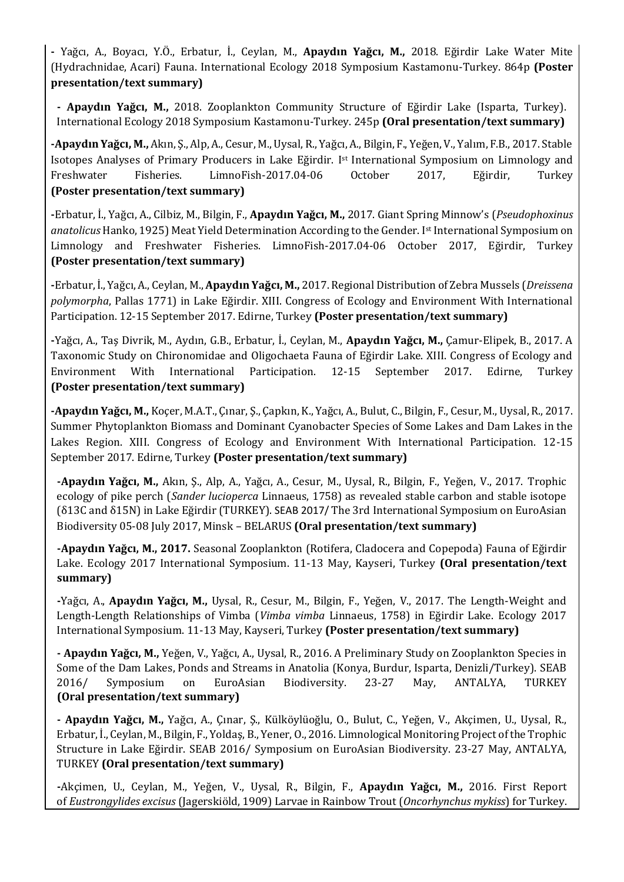**-** Yağcı, A., Boyacı, Y.Ö., Erbatur, İ., Ceylan, M., **Apaydın Yağcı, M.,** 2018. Eğirdir Lake Water Mite (Hydrachnidae, Acari) Fauna. International Ecology 2018 Symposium Kastamonu-Turkey. 864p **(Poster presentation/text summary)**

**- Apaydın Yağcı, M.,** 2018. Zooplankton Community Structure of Eğirdir Lake (Isparta, Turkey). International Ecology 2018 Symposium Kastamonu-Turkey. 245p **(Oral presentation/text summary)**

**-Apaydın Yağcı, M.,** Akın, Ş., Alp, A., Cesur, M., Uysal, R., Yağcı, A., Bilgin, F., Yeğen, V., Yalım, F.B., 2017. Stable Isotopes Analyses of Primary Producers in Lake Eğirdir. Ist International Symposium on Limnology and Freshwater Fisheries. LimnoFish-2017.04-06 October 2017, Eğirdir, Turkey **(Poster presentation/text summary)**

**-**Erbatur, İ., Yağcı, A., Cilbiz, M., Bilgin, F., **Apaydın Yağcı, M.,** 2017. Giant Spring Minnow's (*Pseudophoxinus anatolicus* Hanko, 1925) Meat Yield Determination According to the Gender. Ist International Symposium on Limnology and Freshwater Fisheries. LimnoFish-2017.04-06 October 2017, Eğirdir, Turkey **(Poster presentation/text summary)**

**-**Erbatur, İ., Yağcı, A., Ceylan, M., **Apaydın Yağcı, M.,** 2017. Regional Distribution of Zebra Mussels (*Dreissena polymorpha*, Pallas 1771) in Lake Eğirdir. XIII. Congress of Ecology and Environment With International Participation. 12-15 September 2017. Edirne, Turkey **(Poster presentation/text summary)**

**-**Yağcı, A., Taş Divrik, M., Aydın, G.B., Erbatur, İ., Ceylan, M., **Apaydın Yağcı, M.,** Çamur-Elipek, B., 2017. A Taxonomic Study on Chironomidae and Oligochaeta Fauna of Eğirdir Lake. XIII. Congress of Ecology and Environment With International Participation. 12-15 September 2017. Edirne, Turkey **(Poster presentation/text summary)**

**-Apaydın Yağcı, M.,** Koçer, M.A.T., Çınar, Ş., Çapkın, K., Yağcı, A., Bulut, C., Bilgin, F., Cesur, M., Uysal, R., 2017. Summer Phytoplankton Biomass and Dominant Cyanobacter Species of Some Lakes and Dam Lakes in the Lakes Region. XIII. Congress of Ecology and Environment With International Participation. 12-15 September 2017. Edirne, Turkey **(Poster presentation/text summary)**

**-Apaydın Yağcı, M.,** Akın, Ş., Alp, A., Yağcı, A., Cesur, M., Uysal, R., Bilgin, F., Yeğen, V., 2017. Trophic ecology of pike perch (*Sander lucioperca* Linnaeus, 1758) as revealed stable carbon and stable isotope (δ13C and δ15N) in Lake Eğirdir (TURKEY). SEAB 2017/ The 3rd International Symposium on EuroAsian Biodiversity 05-08 July 2017, Minsk – BELARUS **(Oral presentation/text summary)**

**-Apaydın Yağcı, M., 2017.** Seasonal Zooplankton (Rotifera, Cladocera and Copepoda) Fauna of Eğirdir Lake. Ecology 2017 International Symposium. 11-13 May, Kayseri, Turkey **(Oral presentation/text summary)**

**-**Yağcı, A., **Apaydın Yağcı, M.,** Uysal, R., Cesur, M., Bilgin, F., Yeğen, V., 2017. The Length-Weight and Length-Length Relationships of Vimba (*Vimba vimba* Linnaeus, 1758) in Eğirdir Lake. Ecology 2017 International Symposium. 11-13 May, Kayseri, Turkey **(Poster presentation/text summary)**

**- Apaydın Yağcı, M.,** Yeğen, V., Yağcı, A., Uysal, R., 2016. A Preliminary Study on Zooplankton Species in Some of the Dam Lakes, Ponds and Streams in Anatolia (Konya, Burdur, Isparta, Denizli/Turkey). SEAB 2016/ Symposium on EuroAsian Biodiversity. 23-27 May, ANTALYA, TURKEY **(Oral presentation/text summary)**

**- Apaydın Yağcı, M.,** Yağcı, A., Çınar, Ş., Külköylüoğlu, O., Bulut, C., Yeğen, V., Akçimen, U., Uysal, R., Erbatur, İ., Ceylan, M., Bilgin, F., Yoldaş, B., Yener, O., 2016. Limnological Monitoring Project of the Trophic Structure in Lake Eğirdir. SEAB 2016/ Symposium on EuroAsian Biodiversity. 23-27 May, ANTALYA, TURKEY **(Oral presentation/text summary)**

**-**Akçimen, U., Ceylan, M., Yeğen, V., Uysal, R., Bilgin, F., **Apaydın Yağcı, M.,** 2016. First Report of *Eustrongylides excisus* (Jagerskiöld, 1909) Larvae in Rainbow Trout (*Oncorhynchus mykiss*) for Turkey.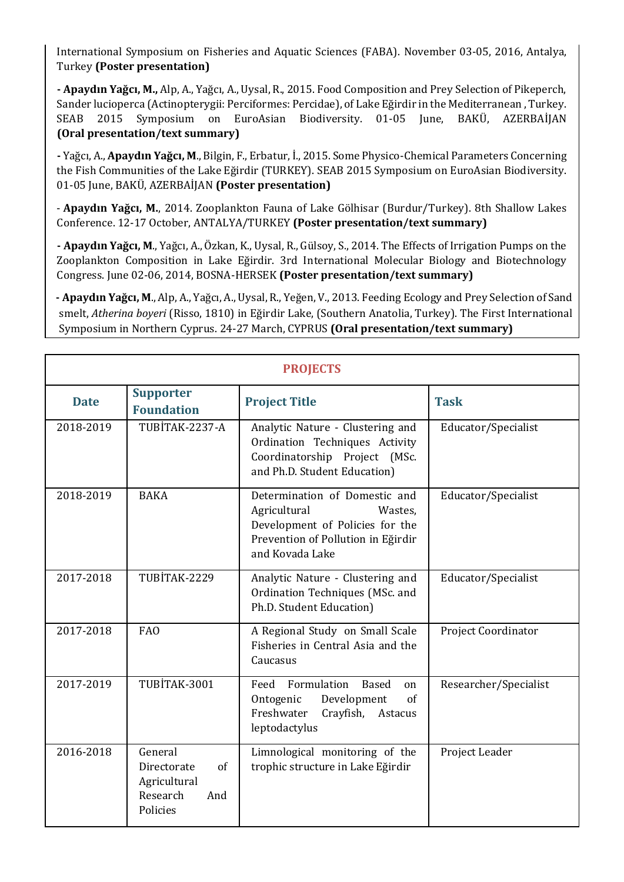International Symposium on Fisheries and Aquatic Sciences (FABA). November 03-05, 2016, Antalya, Turkey **(Poster presentation)**

**- Apaydın Yağcı, M.,** Alp, A., Yağcı, A., Uysal, R., 2015. Food Composition and Prey Selection of Pikeperch, Sander lucioperca (Actinopterygii: Perciformes: Percidae), of Lake Eğirdir in the Mediterranean , Turkey. SEAB 2015 Symposium on EuroAsian Biodiversity. 01-05 June, BAKÜ, AZERBAİJAN **(Oral presentation/text summary)**

**-** Yağcı, A., **Apaydın Yağcı, M**., Bilgin, F., Erbatur, İ., 2015. Some Physico-Chemical Parameters Concerning the Fish Communities of the Lake Eğirdir (TURKEY). SEAB 2015 Symposium on EuroAsian Biodiversity. 01-05 June, BAKÜ, AZERBAİJAN **(Poster presentation)**

- **Apaydın Yağcı, M.**[, 2014. Zooplankton Fauna of Lake Gölhisar \(Burdur/Tur](http://arastirma.tarim.gov.tr/sarim/Sayfalar/Detay.aspx?SayfaId=192)key). 8th Shallow Lakes [Conference. 12-17 October, ANTALYA/TURKEY](http://arastirma.tarim.gov.tr/sarim/Sayfalar/Detay.aspx?SayfaId=192) **(Poster presentation/text summary)**

**- Apaydın Yağcı, M**., Yağcı, A., Özkan, K., Uysal, R., Gülsoy, S., 2014. The Effects of Irrigation Pumps on the Zooplankton Composition in Lake Eğirdir. 3rd International Molecular Biology and Biotechnology Congress. June 02-06, 2014, BOSNA-HERSEK **(Poster presentation/text summary)**

 **- Apaydın Yağcı, M**., Alp, A., Yağcı, A., Uysal, R., Yeğen, V., 2013. Feeding Ecology and Prey Selection of Sand smelt, *Atherina boyeri* (Risso, 1810) in Eğirdir Lake, (Southern Anatolia, Turkey). The First International Symposium in Northern Cyprus. 24-27 March, CYPRUS **(Oral presentation/text summary)**

| <b>PROJECTS</b> |                                                                             |                                                                                                                                                       |                       |  |
|-----------------|-----------------------------------------------------------------------------|-------------------------------------------------------------------------------------------------------------------------------------------------------|-----------------------|--|
| <b>Date</b>     | <b>Supporter</b><br><b>Foundation</b>                                       | <b>Project Title</b>                                                                                                                                  | <b>Task</b>           |  |
| 2018-2019       | TUBİTAK-2237-A                                                              | Analytic Nature - Clustering and<br>Ordination Techniques Activity<br>Coordinatorship Project (MSc.<br>and Ph.D. Student Education)                   | Educator/Specialist   |  |
| 2018-2019       | <b>BAKA</b>                                                                 | Determination of Domestic and<br>Agricultural<br>Wastes.<br>Development of Policies for the<br>Prevention of Pollution in Eğirdir<br>and Kovada Lake  | Educator/Specialist   |  |
| 2017-2018       | TUBİTAK-2229                                                                | Analytic Nature - Clustering and<br>Ordination Techniques (MSc. and<br>Ph.D. Student Education)                                                       | Educator/Specialist   |  |
| 2017-2018       | <b>FAO</b>                                                                  | A Regional Study on Small Scale<br>Fisheries in Central Asia and the<br>Caucasus                                                                      | Project Coordinator   |  |
| 2017-2019       | TUBİTAK-3001                                                                | Formulation<br>Feed<br><b>Based</b><br><sub>on</sub><br>Ontogenic<br>Development<br>$\sigma$ f<br>Freshwater<br>Crayfish,<br>Astacus<br>leptodactylus | Researcher/Specialist |  |
| 2016-2018       | General<br>Directorate<br>of<br>Agricultural<br>Research<br>And<br>Policies | Limnological monitoring of the<br>trophic structure in Lake Eğirdir                                                                                   | Project Leader        |  |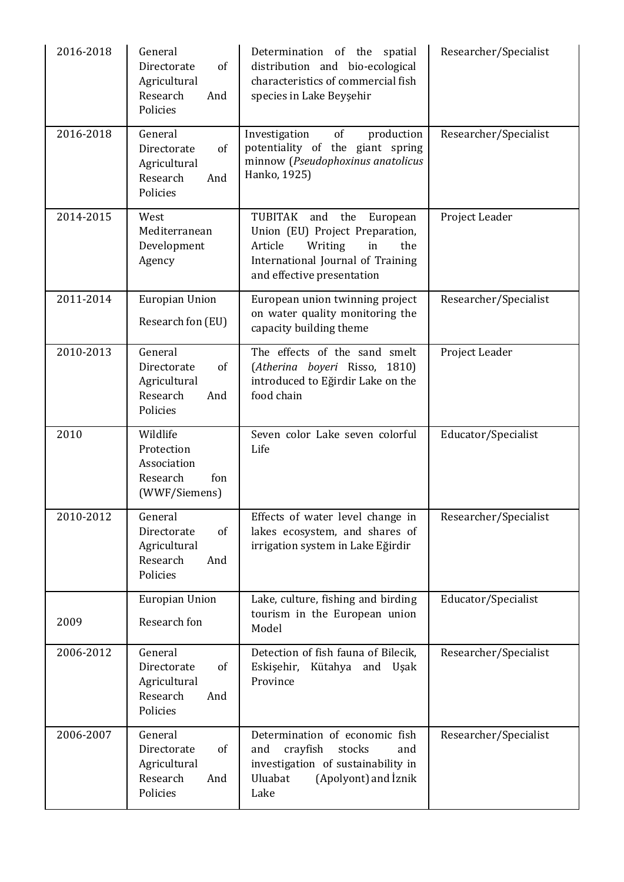| 2016-2018 | General<br>of<br>Directorate<br>Agricultural<br>Research<br>And<br>Policies | Determination of the spatial<br>distribution and bio-ecological<br>characteristics of commercial fish<br>species in Lake Beyşehir                                 | Researcher/Specialist |
|-----------|-----------------------------------------------------------------------------|-------------------------------------------------------------------------------------------------------------------------------------------------------------------|-----------------------|
| 2016-2018 | General<br>Directorate<br>of<br>Agricultural<br>Research<br>And<br>Policies | of<br>Investigation<br>production<br>potentiality of the giant spring<br>minnow (Pseudophoxinus anatolicus<br>Hanko, 1925)                                        | Researcher/Specialist |
| 2014-2015 | West<br>Mediterranean<br>Development<br>Agency                              | TUBITAK and the European<br>Union (EU) Project Preparation,<br>Article<br>Writing<br>in<br>the<br>International Journal of Training<br>and effective presentation | Project Leader        |
| 2011-2014 | <b>Europian Union</b><br>Research fon (EU)                                  | European union twinning project<br>on water quality monitoring the<br>capacity building theme                                                                     | Researcher/Specialist |
| 2010-2013 | General<br>Directorate<br>of<br>Agricultural<br>Research<br>And<br>Policies | The effects of the sand smelt<br>(Atherina boyeri Risso, 1810)<br>introduced to Eğirdir Lake on the<br>food chain                                                 | Project Leader        |
| 2010      | Wildlife<br>Protection<br>Association<br>Research<br>fon<br>(WWF/Siemens)   | Seven color Lake seven colorful<br>Life                                                                                                                           | Educator/Specialist   |
| 2010-2012 | General<br>Directorate<br>of<br>Agricultural<br>Research<br>And<br>Policies | Effects of water level change in<br>lakes ecosystem, and shares of<br>irrigation system in Lake Eğirdir                                                           | Researcher/Specialist |
| 2009      | <b>Europian Union</b><br>Research fon                                       | Lake, culture, fishing and birding<br>tourism in the European union<br>Model                                                                                      | Educator/Specialist   |
| 2006-2012 | General<br>Directorate<br>of<br>Agricultural<br>Research<br>And<br>Policies | Detection of fish fauna of Bilecik,<br>Eskişehir,<br>Kütahya<br>and<br>Uşak<br>Province                                                                           | Researcher/Specialist |
| 2006-2007 | General<br>Directorate<br>of<br>Agricultural<br>Research<br>And<br>Policies | Determination of economic fish<br>crayfish<br>and<br>stocks<br>and<br>investigation of sustainability in<br>Uluabat<br>(Apolyont) and Iznik<br>Lake               | Researcher/Specialist |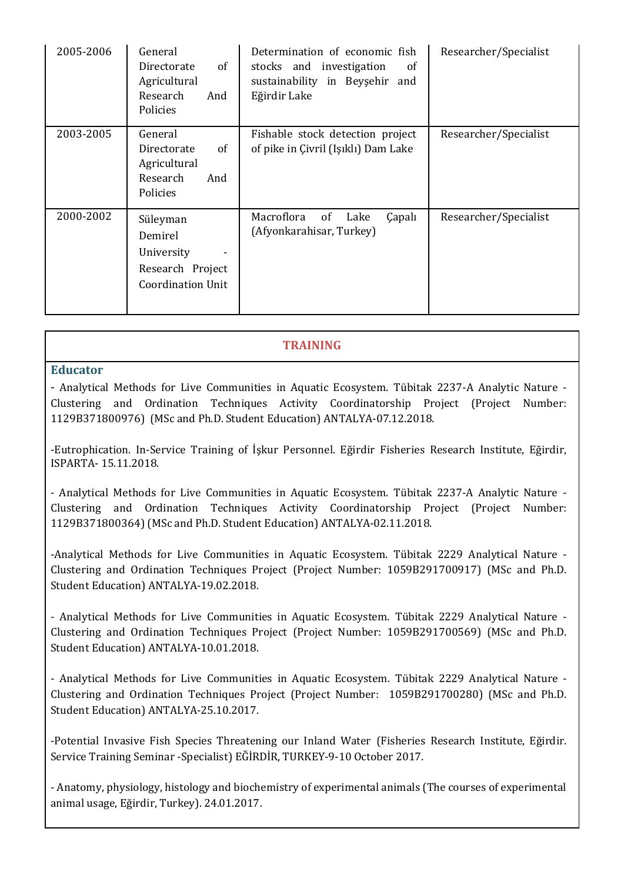| 2005-2006 | General<br>0f<br>Directorate<br>Agricultural<br>Research<br>And<br>Policies       | Determination of economic fish<br>stocks and investigation<br><sub>of</sub><br>sustainability in Beyşehir and<br>Eğirdir Lake | Researcher/Specialist |
|-----------|-----------------------------------------------------------------------------------|-------------------------------------------------------------------------------------------------------------------------------|-----------------------|
| 2003-2005 | General<br>of<br>Directorate<br>Agricultural<br>Research<br>And<br>Policies       | Fishable stock detection project<br>of pike in Çivril (Işıklı) Dam Lake                                                       | Researcher/Specialist |
| 2000-2002 | Süleyman<br>Demirel<br>University<br>Research Project<br><b>Coordination Unit</b> | Macroflora<br>0f<br><b>Çapalı</b><br>Lake<br>(Afyonkarahisar, Turkey)                                                         | Researcher/Specialist |

## **TRAINING**

## **Educator**

- Analytical Methods for Live Communities in Aquatic Ecosystem. Tübitak 2237-A Analytic Nature - Clustering and Ordination Techniques Activity Coordinatorship Project (Project Number: 1129B371800976) (MSc and Ph.D. Student Education) ANTALYA-07.12.2018.

-Eutrophication. In-Service Training of İşkur Personnel. Eğirdir Fisheries Research Institute, Eğirdir, ISPARTA- 15.11.2018.

- Analytical Methods for Live Communities in Aquatic Ecosystem. Tübitak 2237-A Analytic Nature - Clustering and Ordination Techniques Activity Coordinatorship Project (Project Number: 1129B371800364) (MSc and Ph.D. Student Education) ANTALYA-02.11.2018.

-Analytical Methods for Live Communities in Aquatic Ecosystem. Tübitak 2229 Analytical Nature - Clustering and Ordination Techniques Project (Project Number: 1059B291700917) (MSc and Ph.D. Student Education) ANTALYA-19.02.2018.

- Analytical Methods for Live Communities in Aquatic Ecosystem. Tübitak 2229 Analytical Nature - Clustering and Ordination Techniques Project (Project Number: 1059B291700569) (MSc and Ph.D. Student Education) ANTALYA-10.01.2018.

- Analytical Methods for Live Communities in Aquatic Ecosystem. Tübitak 2229 Analytical Nature - Clustering and Ordination Techniques Project (Project Number: 1059B291700280) (MSc and Ph.D. Student Education) ANTALYA-25.10.2017.

-Potential Invasive Fish Species Threatening our Inland Water (Fisheries Research Institute, Eğirdir. Service Training Seminar -Specialist) EĞİRDİR, TURKEY-9-10 October 2017.

- Anatomy, physiology, histology and biochemistry of experimental animals (The courses of experimental animal usage, Eğirdir, Turkey). 24.01.2017.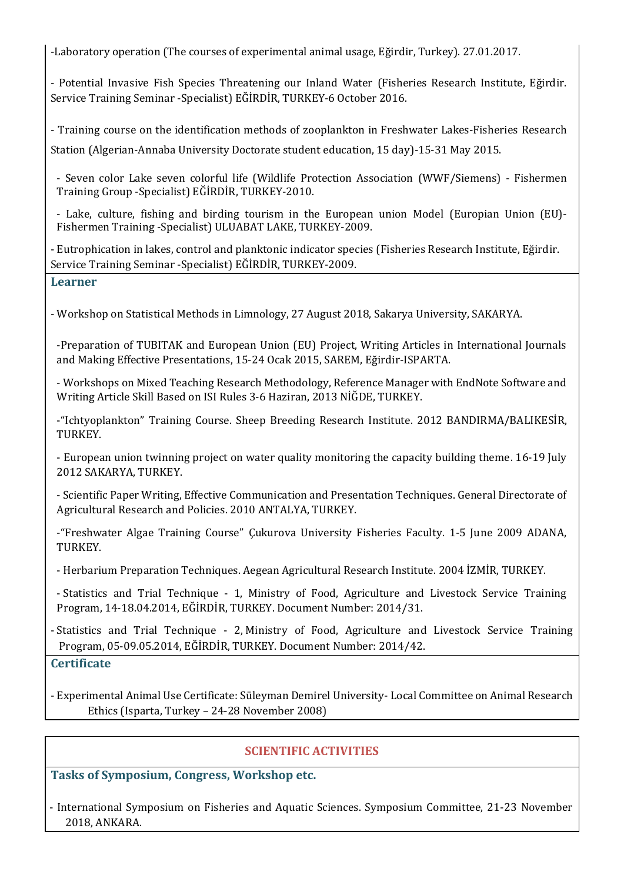-Laboratory operation (The courses of experimental animal usage, Eğirdir, Turkey). 27.01.2017.

- Potential Invasive Fish Species Threatening our Inland Water (Fisheries Research Institute, Eğirdir. Service Training Seminar -Specialist) EĞİRDİR, TURKEY-6 October 2016.

- Training course on the identification methods of zooplankton in Freshwater Lakes-Fisheries Research Station (Algerian-Annaba University Doctorate student education, 15 day)-15-31 May 2015.

- Seven color Lake seven colorful life (Wildlife Protection Association (WWF/Siemens) - Fishermen Training Group -Specialist) EĞİRDİR, TURKEY-2010.

- Lake, culture, fishing and birding tourism in the European union Model (Europian Union (EU)- Fishermen Training -Specialist) ULUABAT LAKE, TURKEY-2009.

- Eutrophication in lakes, control and planktonic indicator species (Fisheries Research Institute, Eğirdir. Service Training Seminar -Specialist) EĞİRDİR, TURKEY-2009.

## **Learner**

- Workshop on Statistical Methods in Limnology, 27 August 2018, Sakarya University, SAKARYA.

-Preparation of TUBITAK and European Union (EU) Project, Writing Articles in International Journals and Making Effective Presentations, 15-24 Ocak 2015, SAREM, Eğirdir-ISPARTA.

- Workshops on Mixed Teaching Research Methodology, Reference Manager with EndNote Software and Writing Article Skill Based on ISI Rules 3-6 Haziran, 2013 NİĞDE, TURKEY.

-"Ichtyoplankton" Training Course. Sheep Breeding Research Institute. 2012 BANDIRMA/BALIKESİR, TURKEY.

- European union twinning project on water quality monitoring the capacity building theme. 16-19 July 2012 SAKARYA, TURKEY.

- Scientific Paper Writing, Effective Communication and Presentation Techniques. General Directorate of Agricultural Research and Policies. 2010 ANTALYA, TURKEY.

-"Freshwater Algae Training Course" Çukurova University Fisheries Faculty. 1-5 June 2009 ADANA, TURKEY.

- Herbarium Preparation Techniques. Aegean Agricultural Research Institute. 2004 İZMİR, TURKEY.

- Statistics and Trial Technique - 1, Ministry of Food, Agriculture and Livestock Service Training Program, 14-18.04.2014, EĞİRDİR, TURKEY. Document Number: 2014/31.

- Statistics and Trial Technique - 2, Ministry of Food, Agriculture and Livestock Service Training Program, 05-09.05.2014, EĞİRDİR, TURKEY. Document Number: 2014/42.

# **Certificate**

- Experimental Animal Use Certificate: Süleyman Demirel University- Local Committee on Animal Research Ethics (Isparta, Turkey – 24-28 November 2008)

# **SCIENTIFIC ACTIVITIES**

**Tasks of Symposium, Congress, Workshop etc.**

- International Symposium on Fisheries and Aquatic Sciences. Symposium Committee, 21-23 November 2018, ANKARA.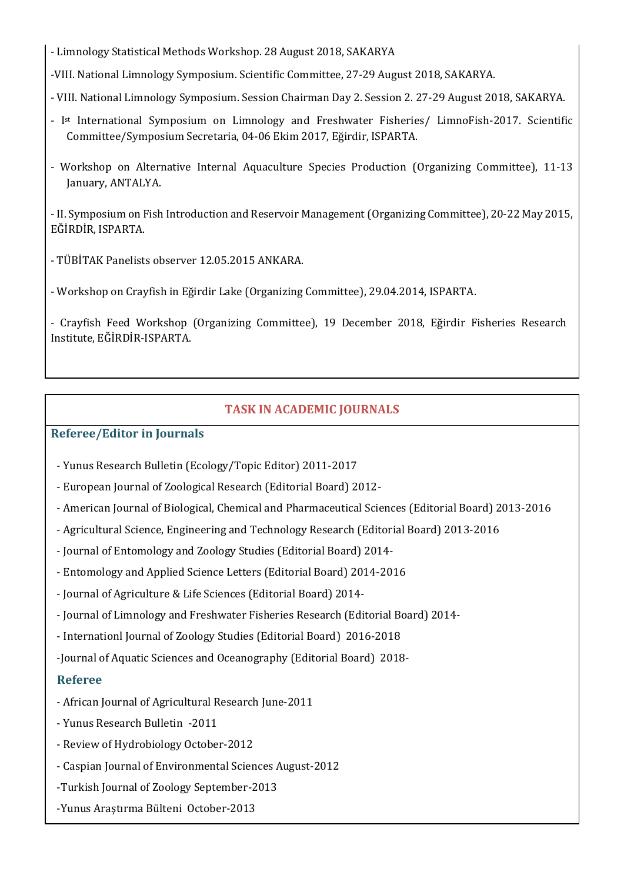- Limnology Statistical Methods Workshop. 28 August 2018, SAKARYA

-VIII. National Limnology Symposium. Scientific Committee, 27-29 August 2018, SAKARYA.

- VIII. National Limnology Symposium. Session Chairman Day 2. Session 2. 27-29 August 2018, SAKARYA.
- I<sup>st</sup> International Symposium on Limnology and Freshwater Fisheries/ LimnoFish-2017. Scientific Committee/Symposium Secretaria, 04-06 Ekim 2017, Eğirdir, ISPARTA.
- Workshop on Alternative Internal Aquaculture Species Production (Organizing Committee), 11-13 January, ANTALYA.

- II. Symposium on Fish Introduction and Reservoir Management (Organizing Committee), 20-22 May 2015, EĞİRDİR, ISPARTA.

- TÜBİTAK Panelists observer 12.05.2015 ANKARA.
- Workshop on Crayfish in Eğirdir Lake (Organizing Committee), 29.04.2014, ISPARTA.

- Crayfish Feed Workshop (Organizing Committee), 19 December 2018, Eğirdir Fisheries Research Institute, EĞİRDİR-ISPARTA.

# **TASK IN ACADEMIC JOURNALS**

## **Referee/Editor in Journals**

- Yunus Research Bulletin (Ecology/Topic Editor) 2011-2017
- European Journal of Zoological Research (Editorial Board) 2012-
- American Journal of Biological, Chemical and Pharmaceutical Sciences (Editorial Board) 2013-2016
- Agricultural Science, Engineering and Technology Research (Editorial Board) 2013-2016
- Journal of Entomology and Zoology Studies (Editorial Board) 2014-
- Entomology and Applied Science Letters (Editorial Board) 2014-2016
- Journal of Agriculture & Life Sciences (Editorial Board) 2014-
- Journal of Limnology and Freshwater Fisheries Research (Editorial Board) 2014-
- Internationl Journal of Zoology Studies (Editorial Board) 2016-2018
- -Journal of Aquatic Sciences and Oceanography (Editorial Board) 2018-

## **Referee**

- African Journal of Agricultural Research June-2011
- Yunus Research Bulletin -2011
- Review of Hydrobiology October-2012
- Caspian Journal of Environmental Sciences August-2012
- -Turkish Journal of Zoology September-2013
- -Yunus Araştırma Bülteni October-2013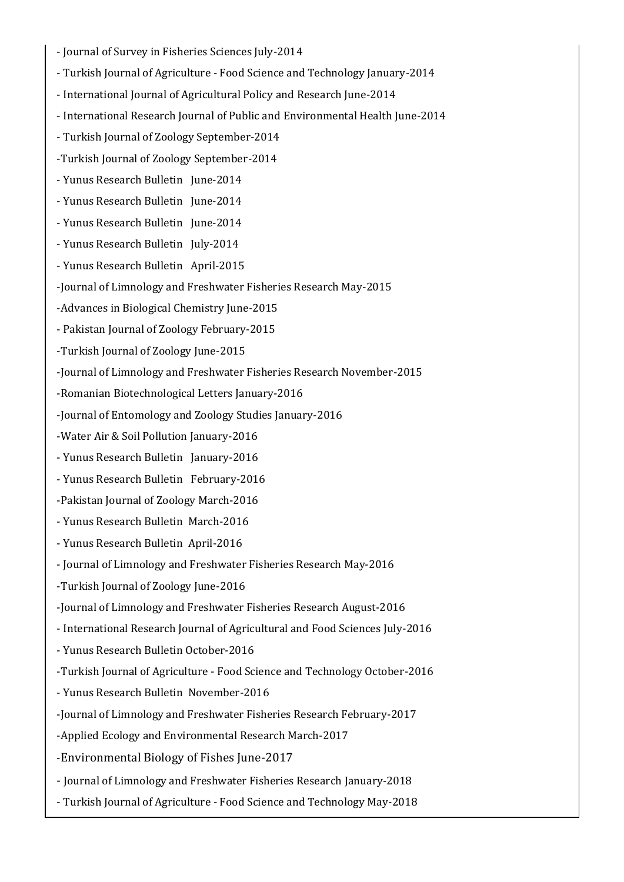- Journal of Survey in Fisheries Sciences July-2014
- Turkish Journal of Agriculture Food Science and Technology January-2014
- International Journal of Agricultural Policy and Research June-2014
- International Research Journal of Public and Environmental Health June-2014
- Turkish Journal of Zoology September-2014
- -Turkish Journal of Zoology September-2014
- Yunus Research Bulletin June-2014
- Yunus Research Bulletin June-2014
- Yunus Research Bulletin June-2014
- Yunus Research Bulletin July-2014
- Yunus Research Bulletin April-2015
- -Journal of Limnology and Freshwater Fisheries Research May-2015
- -Advances in Biological Chemistry June-2015
- Pakistan Journal of Zoology February-2015
- -Turkish Journal of Zoology June-2015
- -Journal of Limnology and Freshwater Fisheries Research November-2015
- -Romanian Biotechnological Letters January-2016
- -Journal of Entomology and Zoology Studies January-2016
- -Water Air & Soil Pollution January-2016
- Yunus Research Bulletin January-2016
- Yunus Research Bulletin February-2016
- -Pakistan Journal of Zoology March-2016
- Yunus Research Bulletin March-2016
- Yunus Research Bulletin April-2016
- Journal of Limnology and Freshwater Fisheries Research May-2016
- -Turkish Journal of Zoology June-2016
- -Journal of Limnology and Freshwater Fisheries Research August-2016
- International Research Journal of Agricultural and Food Sciences July-2016
- Yunus Research Bulletin October-2016
- -Turkish Journal of Agriculture Food Science and Technology October-2016
- Yunus Research Bulletin November-2016
- -Journal of Limnology and Freshwater Fisheries Research February-2017
- -Applied Ecology and Environmental Research March-2017
- -Environmental Biology of Fishes June-2017
- Journal of Limnology and Freshwater Fisheries Research January-2018
- Turkish Journal of Agriculture Food Science and Technology May-2018